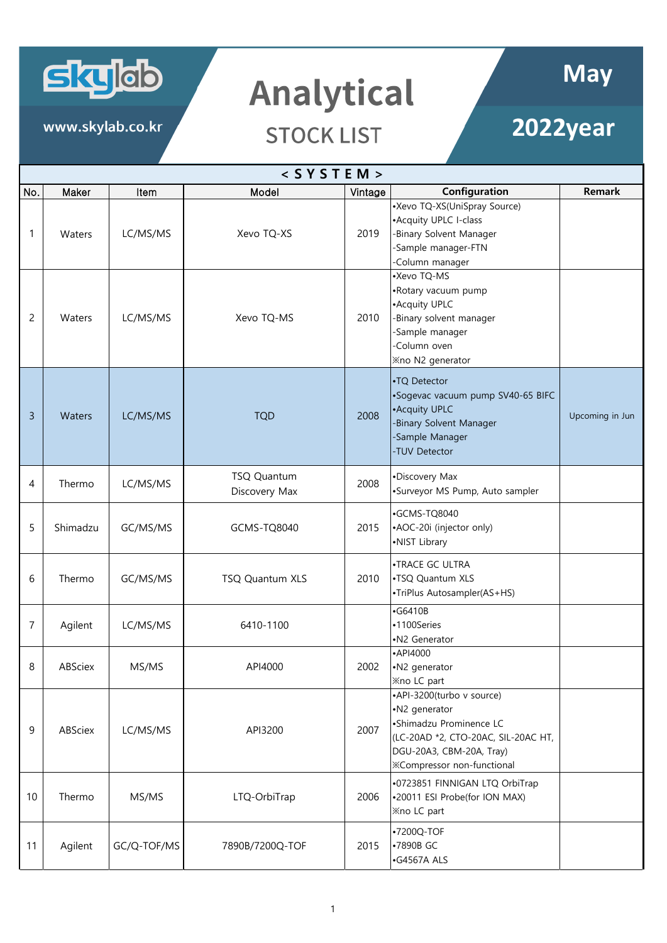

www.skylab.co.kr

## Analytical

## **2022year**

|                | $<$ SYSTEM > |             |                              |         |                                                                                                                                                                               |                 |  |  |
|----------------|--------------|-------------|------------------------------|---------|-------------------------------------------------------------------------------------------------------------------------------------------------------------------------------|-----------------|--|--|
| No.            | Maker        | Item        | Model                        | Vintage | Configuration                                                                                                                                                                 | <b>Remark</b>   |  |  |
| 1              | Waters       | LC/MS/MS    | Xevo TQ-XS                   | 2019    | •Xevo TQ-XS(UniSpray Source)<br>•Acquity UPLC I-class<br>-Binary Solvent Manager<br>-Sample manager-FTN<br>-Column manager                                                    |                 |  |  |
| 2              | Waters       | LC/MS/MS    | Xevo TQ-MS                   | 2010    | •Xevo TQ-MS<br>•Rotary vacuum pump<br>• Acquity UPLC<br>-Binary solvent manager<br>-Sample manager<br>-Column oven<br><b>Xno N2 generator</b>                                 |                 |  |  |
| 3              | Waters       | LC/MS/MS    | <b>TQD</b>                   | 2008    | •TQ Detector<br>•Sogevac vacuum pump SV40-65 BIFC<br>• Acquity UPLC<br>Binary Solvent Manager<br>Sample Manager<br>-TUV Detector                                              | Upcoming in Jun |  |  |
| 4              | Thermo       | LC/MS/MS    | TSQ Quantum<br>Discovery Max | 2008    | •Discovery Max<br>•Surveyor MS Pump, Auto sampler                                                                                                                             |                 |  |  |
| 5              | Shimadzu     | GC/MS/MS    | GCMS-TQ8040                  | 2015    | ·GCMS-TQ8040<br>•AOC-20i (injector only)<br>•NIST Library                                                                                                                     |                 |  |  |
| 6              | Thermo       | GC/MS/MS    | TSQ Quantum XLS              | 2010    | •TRACE GC ULTRA<br>.TSQ Quantum XLS<br>•TriPlus Autosampler(AS+HS)                                                                                                            |                 |  |  |
| $\overline{7}$ | Agilent      | LC/MS/MS    | 6410-1100                    |         | $-$ G6410B<br>•1100Series<br>•N2 Generator                                                                                                                                    |                 |  |  |
| 8              | ABSciex      | MS/MS       | API4000                      | 2002    | •API4000<br>•N2 generator<br><b>Xno LC part</b>                                                                                                                               |                 |  |  |
| 9              | ABSciex      | LC/MS/MS    | API3200                      | 2007    | •API-3200(turbo v source)<br>•N2 generator<br>•Shimadzu Prominence LC<br>(LC-20AD *2, CTO-20AC, SIL-20AC HT,<br>DGU-20A3, CBM-20A, Tray)<br><b>※Compressor non-functional</b> |                 |  |  |
| 10             | Thermo       | MS/MS       | LTQ-OrbiTrap                 | 2006    | .0723851 FINNIGAN LTQ OrbiTrap<br>•20011 ESI Probe(for ION MAX)<br><b>Xno LC part</b>                                                                                         |                 |  |  |
| 11             | Agilent      | GC/Q-TOF/MS | 7890B/7200Q-TOF              | 2015    | •7200Q-TOF<br>•7890B GC<br>·G4567A ALS                                                                                                                                        |                 |  |  |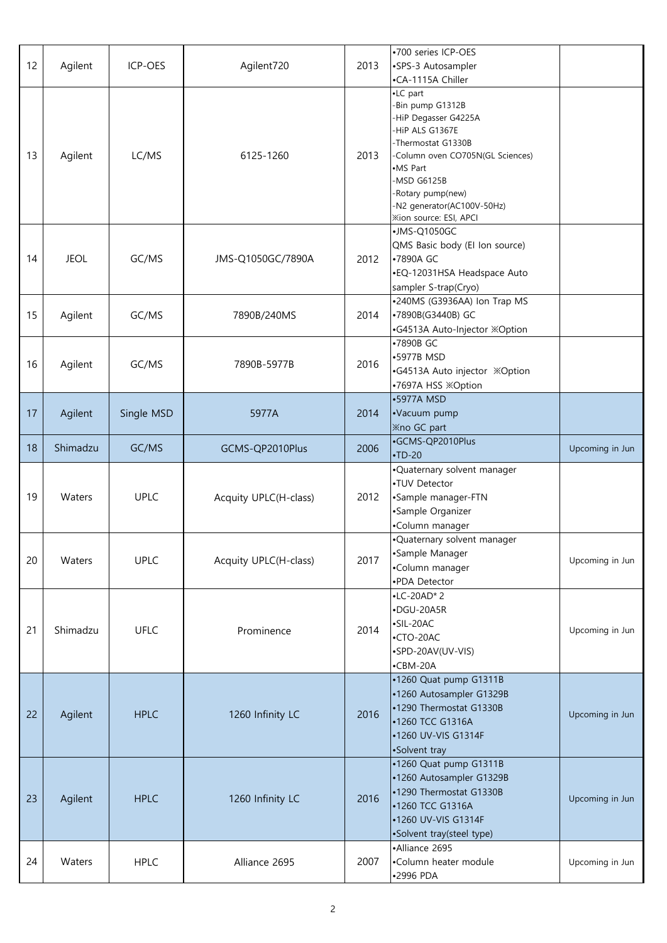| 12 | Agilent     | ICP-OES     | Agilent720            | 2013 | •700 series ICP-OES<br>•SPS-3 Autosampler<br>•CA-1115A Chiller                                                                                                                                                                                   |                 |
|----|-------------|-------------|-----------------------|------|--------------------------------------------------------------------------------------------------------------------------------------------------------------------------------------------------------------------------------------------------|-----------------|
| 13 | Agilent     | LC/MS       | 6125-1260             | 2013 | •LC part<br>-Bin pump G1312B<br>-HiP Degasser G4225A<br>-HiP ALS G1367E<br>-Thermostat G1330B<br>-Column oven CO705N(GL Sciences)<br>•MS Part<br>-MSD G6125B<br>-Rotary pump(new)<br>-N2 generator(AC100V-50Hz)<br><b>Xion source: ESI, APCI</b> |                 |
| 14 | <b>JEOL</b> | GC/MS       | JMS-Q1050GC/7890A     | 2012 | •JMS-Q1050GC<br>QMS Basic body (El lon source)<br>•7890A GC<br>•EQ-12031HSA Headspace Auto<br>sampler S-trap(Cryo)                                                                                                                               |                 |
| 15 | Agilent     | GC/MS       | 7890B/240MS           | 2014 | •240MS (G3936AA) Ion Trap MS<br>•7890B(G3440B) GC<br>•G4513A Auto-Injector ※Option                                                                                                                                                               |                 |
| 16 | Agilent     | GC/MS       | 7890B-5977B           | 2016 | •7890B GC<br>•5977B MSD<br>•G4513A Auto injector <b>※Option</b><br>•7697A HSS ※Option                                                                                                                                                            |                 |
| 17 | Agilent     | Single MSD  | 5977A                 | 2014 | •5977A MSD<br>•Vacuum pump<br><b>Xno GC part</b>                                                                                                                                                                                                 |                 |
| 18 | Shimadzu    | GC/MS       | GCMS-QP2010Plus       | 2006 | ·GCMS-QP2010Plus<br>$\cdot$ TD-20                                                                                                                                                                                                                | Upcoming in Jun |
| 19 | Waters      | <b>UPLC</b> | Acquity UPLC(H-class) | 2012 | .Quaternary solvent manager<br>•TUV Detector<br>•Sample manager-FTN<br>·Sample Organizer<br>•Column manager                                                                                                                                      |                 |
| 20 | Waters      | <b>UPLC</b> | Acquity UPLC(H-class) | 2017 | .Quaternary solvent manager<br>•Sample Manager<br>•Column manager<br>•PDA Detector                                                                                                                                                               | Upcoming in Jun |
| 21 | Shimadzu    | <b>UFLC</b> | Prominence            | 2014 | $\cdot$ LC-20AD*2<br>•DGU-20A5R<br>$\cdot$ SIL-20AC<br>$\cdot$ CTO-20AC<br>•SPD-20AV(UV-VIS)<br>$\cdot$ CBM-20A                                                                                                                                  | Upcoming in Jun |
| 22 | Agilent     | <b>HPLC</b> | 1260 Infinity LC      | 2016 | •1260 Quat pump G1311B<br>•1260 Autosampler G1329B<br>•1290 Thermostat G1330B<br>•1260 TCC G1316A<br>•1260 UV-VIS G1314F<br>•Solvent tray                                                                                                        | Upcoming in Jun |
| 23 | Agilent     | <b>HPLC</b> | 1260 Infinity LC      | 2016 | •1260 Quat pump G1311B<br>•1260 Autosampler G1329B<br>•1290 Thermostat G1330B<br>•1260 TCC G1316A<br>•1260 UV-VIS G1314F<br>•Solvent tray(steel type)                                                                                            | Upcoming in Jun |
| 24 | Waters      | <b>HPLC</b> | Alliance 2695         | 2007 | •Alliance 2695<br>•Column heater module<br>•2996 PDA                                                                                                                                                                                             | Upcoming in Jun |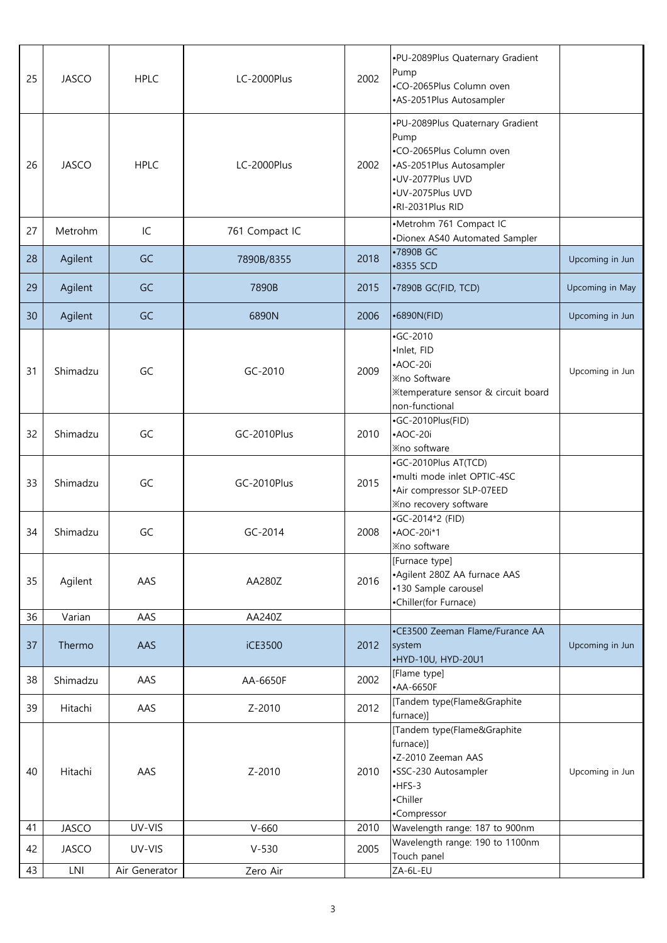| 25 | <b>JASCO</b> | <b>HPLC</b>   | LC-2000Plus    | 2002 | .PU-2089Plus Quaternary Gradient<br>Pump<br>•CO-2065Plus Column oven<br>•AS-2051Plus Autosampler                                                             |                 |
|----|--------------|---------------|----------------|------|--------------------------------------------------------------------------------------------------------------------------------------------------------------|-----------------|
| 26 | <b>JASCO</b> | <b>HPLC</b>   | LC-2000Plus    | 2002 | .PU-2089Plus Quaternary Gradient<br>Pump<br>•CO-2065Plus Column oven<br>•AS-2051Plus Autosampler<br>•UV-2077Plus UVD<br>•UV-2075Plus UVD<br>·RI-2031Plus RID |                 |
| 27 | Metrohm      | IC            | 761 Compact IC |      | •Metrohm 761 Compact IC<br>•Dionex AS40 Automated Sampler                                                                                                    |                 |
| 28 | Agilent      | GC            | 7890B/8355     | 2018 | •7890B GC<br>•8355 SCD                                                                                                                                       | Upcoming in Jun |
| 29 | Agilent      | GC            | 7890B          | 2015 | •7890B GC(FID, TCD)                                                                                                                                          | Upcoming in May |
| 30 | Agilent      | GC            | 6890N          | 2006 | •6890N(FID)                                                                                                                                                  | Upcoming in Jun |
| 31 | Shimadzu     | GC            | GC-2010        | 2009 | $-GC-2010$<br>·Inlet, FID<br>$\cdot$ AOC-20i<br><b>Xno Software</b><br><b>Xtemperature sensor &amp; circuit board</b><br>non-functional                      | Upcoming in Jun |
| 32 | Shimadzu     | GC            | GC-2010Plus    | 2010 | •GC-2010Plus(FID)<br>$\cdot$ AOC-20i<br><b>Xno software</b>                                                                                                  |                 |
| 33 | Shimadzu     | GC            | GC-2010Plus    | 2015 | •GC-2010Plus AT(TCD)<br>•multi mode inlet OPTIC-4SC<br>•Air compressor SLP-07EED<br><b>Xno recovery software</b>                                             |                 |
| 34 | Shimadzu     | GC            | GC-2014        | 2008 | •GC-2014*2 (FID)<br>$\cdot$ AOC-20i*1<br><b>Xno</b> software                                                                                                 |                 |
| 35 | Agilent      | AAS           | AA280Z         | 2016 | [Furnace type]<br>•Agilent 280Z AA furnace AAS<br>•130 Sample carousel<br>•Chiller(for Furnace)                                                              |                 |
| 36 | Varian       | AAS           | AA240Z         |      |                                                                                                                                                              |                 |
| 37 | Thermo       | AAS           | iCE3500        | 2012 | •CE3500 Zeeman Flame/Furance AA<br>system<br>•HYD-10U, HYD-20U1                                                                                              | Upcoming in Jun |
| 38 | Shimadzu     | AAS           | AA-6650F       | 2002 | [Flame type]<br>•AA-6650F                                                                                                                                    |                 |
| 39 | Hitachi      | AAS           | Z-2010         | 2012 | [Tandem type(Flame&Graphite<br>furnace)]                                                                                                                     |                 |
| 40 | Hitachi      | AAS           | Z-2010         | 2010 | [Tandem type(Flame&Graphite<br>furnace)]<br>-Z-2010 Zeeman AAS<br>•SSC-230 Autosampler<br>$-HFS-3$<br>•Chiller<br>•Compressor                                | Upcoming in Jun |
| 41 | <b>JASCO</b> | UV-VIS        | $V-660$        | 2010 | Wavelength range: 187 to 900nm                                                                                                                               |                 |
| 42 | <b>JASCO</b> | UV-VIS        | $V-530$        | 2005 | Wavelength range: 190 to 1100nm<br>Touch panel                                                                                                               |                 |
| 43 | LNI          | Air Generator | Zero Air       |      | ZA-6L-EU                                                                                                                                                     |                 |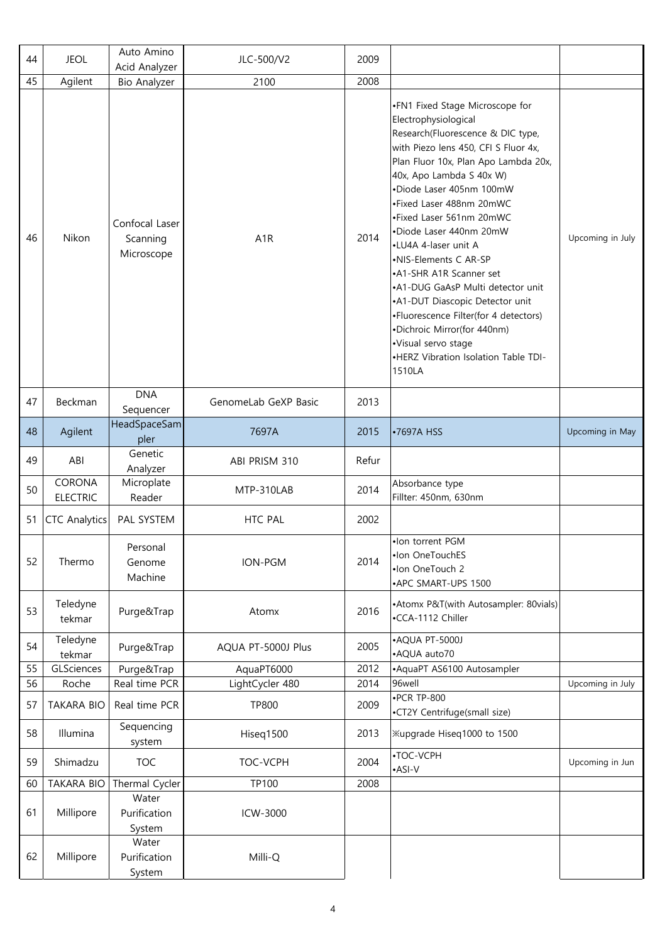| 44 | <b>JEOL</b>               | Auto Amino<br>Acid Analyzer              | JLC-500/V2           | 2009  |                                                                                                                                                                                                                                                                                                                                                                                                                                                                                                                                                                                                                              |                  |
|----|---------------------------|------------------------------------------|----------------------|-------|------------------------------------------------------------------------------------------------------------------------------------------------------------------------------------------------------------------------------------------------------------------------------------------------------------------------------------------------------------------------------------------------------------------------------------------------------------------------------------------------------------------------------------------------------------------------------------------------------------------------------|------------------|
| 45 | Agilent                   | <b>Bio Analyzer</b>                      | 2100                 | 2008  |                                                                                                                                                                                                                                                                                                                                                                                                                                                                                                                                                                                                                              |                  |
| 46 | Nikon                     | Confocal Laser<br>Scanning<br>Microscope | A <sub>1</sub> R     | 2014  | .FN1 Fixed Stage Microscope for<br>Electrophysiological<br>Research(Fluorescence & DIC type,<br>with Piezo lens 450, CFI S Fluor 4x,<br>Plan Fluor 10x, Plan Apo Lambda 20x,<br>40x, Apo Lambda S 40x W)<br>·Diode Laser 405nm 100mW<br>•Fixed Laser 488nm 20mWC<br>•Fixed Laser 561nm 20mWC<br>•Diode Laser 440nm 20mW<br>•LU4A 4-laser unit A<br>•NIS-Elements C AR-SP<br>•A1-SHR A1R Scanner set<br>•A1-DUG GaAsP Multi detector unit<br>•A1-DUT Diascopic Detector unit<br>•Fluorescence Filter(for 4 detectors)<br>•Dichroic Mirror(for 440nm)<br>·Visual servo stage<br>•HERZ Vibration Isolation Table TDI-<br>1510LA | Upcoming in July |
| 47 | Beckman                   | <b>DNA</b><br>Sequencer                  | GenomeLab GeXP Basic | 2013  |                                                                                                                                                                                                                                                                                                                                                                                                                                                                                                                                                                                                                              |                  |
| 48 | Agilent                   | HeadSpaceSam<br>pler                     | 7697A                | 2015  | •7697A HSS                                                                                                                                                                                                                                                                                                                                                                                                                                                                                                                                                                                                                   | Upcoming in May  |
| 49 | ABI                       | Genetic<br>Analyzer                      | ABI PRISM 310        | Refur |                                                                                                                                                                                                                                                                                                                                                                                                                                                                                                                                                                                                                              |                  |
| 50 | CORONA<br><b>ELECTRIC</b> | Microplate<br>Reader                     | MTP-310LAB           | 2014  | Absorbance type<br>Fillter: 450nm, 630nm                                                                                                                                                                                                                                                                                                                                                                                                                                                                                                                                                                                     |                  |
| 51 | <b>CTC Analytics</b>      | PAL SYSTEM                               | HTC PAL              | 2002  |                                                                                                                                                                                                                                                                                                                                                                                                                                                                                                                                                                                                                              |                  |
| 52 | Thermo                    | Personal<br>Genome<br>Machine            | ION-PGM              | 2014  | •Ion torrent PGM<br>•Ion OneTouchES<br>•Ion OneTouch 2<br>•APC SMART-UPS 1500                                                                                                                                                                                                                                                                                                                                                                                                                                                                                                                                                |                  |
| 53 | Teledyne<br>tekmar        | Purge&Trap                               | Atomx                | 2016  | •Atomx P&T(with Autosampler: 80vials)<br>•CCA-1112 Chiller                                                                                                                                                                                                                                                                                                                                                                                                                                                                                                                                                                   |                  |
| 54 | Teledyne<br>tekmar        | Purge&Trap                               | AQUA PT-5000J Plus   | 2005  | •AQUA PT-5000J<br>•AQUA auto70                                                                                                                                                                                                                                                                                                                                                                                                                                                                                                                                                                                               |                  |
| 55 | GLSciences                | Purge&Trap                               | AquaPT6000           | 2012  | • AquaPT AS6100 Autosampler                                                                                                                                                                                                                                                                                                                                                                                                                                                                                                                                                                                                  |                  |
| 56 | Roche                     | Real time PCR                            | LightCycler 480      | 2014  | 96well                                                                                                                                                                                                                                                                                                                                                                                                                                                                                                                                                                                                                       | Upcoming in July |
| 57 | <b>TAKARA BIO</b>         | Real time PCR                            | <b>TP800</b>         | 2009  | $\cdot$ PCR TP-800<br>•CT2Y Centrifuge(small size)                                                                                                                                                                                                                                                                                                                                                                                                                                                                                                                                                                           |                  |
| 58 | Illumina                  | Sequencing<br>system                     | Hiseq1500            | 2013  | Xupgrade Hiseq1000 to 1500                                                                                                                                                                                                                                                                                                                                                                                                                                                                                                                                                                                                   |                  |
| 59 | Shimadzu                  | <b>TOC</b>                               | TOC-VCPH             | 2004  | •TOC-VCPH<br>•ASI-V                                                                                                                                                                                                                                                                                                                                                                                                                                                                                                                                                                                                          | Upcoming in Jun  |
| 60 | <b>TAKARA BIO</b>         | Thermal Cycler                           | <b>TP100</b>         | 2008  |                                                                                                                                                                                                                                                                                                                                                                                                                                                                                                                                                                                                                              |                  |
| 61 | Millipore                 | Water<br>Purification<br>System          | ICW-3000             |       |                                                                                                                                                                                                                                                                                                                                                                                                                                                                                                                                                                                                                              |                  |
| 62 | Millipore                 | Water<br>Purification<br>System          | Milli-Q              |       |                                                                                                                                                                                                                                                                                                                                                                                                                                                                                                                                                                                                                              |                  |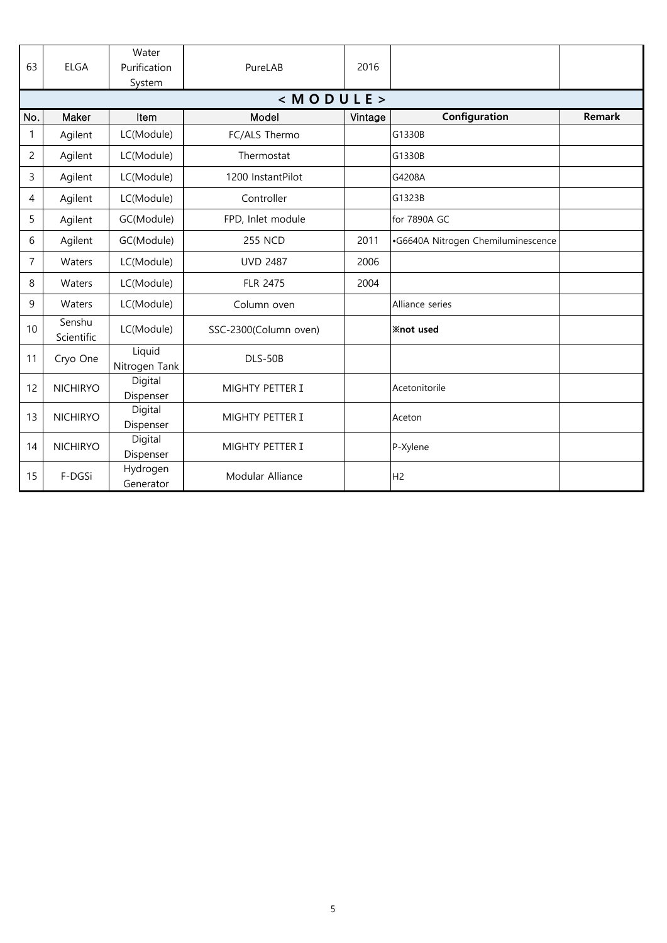| 63  | <b>ELGA</b>          | Water<br>Purification<br>System | PureLAB               | 2016    |                                    |               |
|-----|----------------------|---------------------------------|-----------------------|---------|------------------------------------|---------------|
|     |                      |                                 | < M O D U L E         |         |                                    |               |
| No. | Maker                | Item                            | Model                 | Vintage | Configuration                      | <b>Remark</b> |
| 1   | Agilent              | LC(Module)                      | FC/ALS Thermo         |         | G1330B                             |               |
| 2   | Agilent              | LC(Module)                      | Thermostat            |         | G1330B                             |               |
| 3   | Agilent              | LC(Module)                      | 1200 InstantPilot     |         | G4208A                             |               |
| 4   | Agilent              | LC(Module)                      | Controller            |         | G1323B                             |               |
| 5   | Agilent              | GC(Module)                      | FPD, Inlet module     |         | for 7890A GC                       |               |
| 6   | Agilent              | GC(Module)                      | <b>255 NCD</b>        | 2011    | •G6640A Nitrogen Chemiluminescence |               |
| 7   | Waters               | LC(Module)                      | <b>UVD 2487</b>       | 2006    |                                    |               |
| 8   | Waters               | LC(Module)                      | <b>FLR 2475</b>       | 2004    |                                    |               |
| 9   | Waters               | LC(Module)                      | Column oven           |         | Alliance series                    |               |
| 10  | Senshu<br>Scientific | LC(Module)                      | SSC-2300(Column oven) |         | <b>Xnot</b> used                   |               |
| 11  | Cryo One             | Liquid<br>Nitrogen Tank         | <b>DLS-50B</b>        |         |                                    |               |
| 12  | <b>NICHIRYO</b>      | Digital<br>Dispenser            | MIGHTY PETTER I       |         | Acetonitorile                      |               |
| 13  | <b>NICHIRYO</b>      | Digital<br>Dispenser            | MIGHTY PETTER I       |         | Aceton                             |               |
| 14  | <b>NICHIRYO</b>      | Digital<br>Dispenser            | MIGHTY PETTER I       |         | P-Xylene                           |               |
| 15  | F-DGSi               | Hydrogen<br>Generator           | Modular Alliance      |         | H <sub>2</sub>                     |               |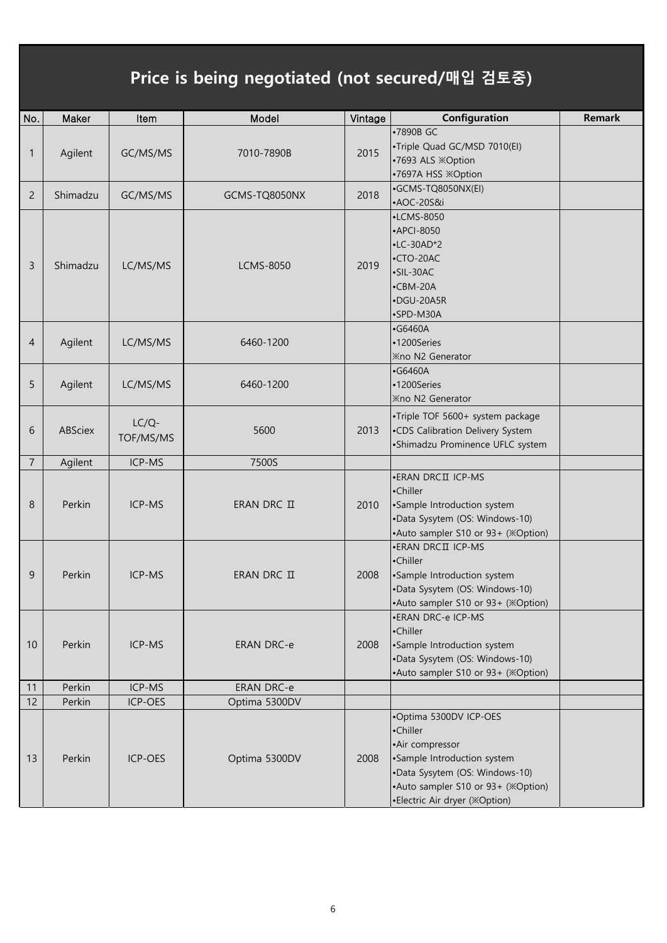## Price is being negotiated (not secured/매입 검토중)

| No.            | Maker    | Item                  | Model             | Vintage | Configuration                                                                                                                                                                                 | <b>Remark</b> |
|----------------|----------|-----------------------|-------------------|---------|-----------------------------------------------------------------------------------------------------------------------------------------------------------------------------------------------|---------------|
| 1              | Agilent  | GC/MS/MS              | 7010-7890B        | 2015    | •7890B GC<br>•Triple Quad GC/MSD 7010(EI)<br>•7693 ALS ※Option<br>•7697A HSS ※Option                                                                                                          |               |
| $\overline{2}$ | Shimadzu | GC/MS/MS              | GCMS-TQ8050NX     | 2018    | ·GCMS-TQ8050NX(EI)<br>•AOC-20S&i                                                                                                                                                              |               |
| 3              | Shimadzu | LC/MS/MS              | <b>LCMS-8050</b>  | 2019    | $\cdot$ LCMS-8050<br>•APCI-8050<br>$\cdot$ LC-30AD*2<br>$\cdot$ CTO-20AC<br>$\cdot$ SIL-30AC<br>$\cdot$ CBM-20A<br>·DGU-20A5R<br>•SPD-M30A                                                    |               |
| 4              | Agilent  | LC/MS/MS              | 6460-1200         |         | $\cdot$ G6460A<br>•1200Series<br><b>Xno N2 Generator</b>                                                                                                                                      |               |
| 5              | Agilent  | LC/MS/MS              | 6460-1200         |         | $\cdot$ G6460A<br>•1200Series<br><b>Xno N2 Generator</b>                                                                                                                                      |               |
| 6              | ABSciex  | $LC/Q$ -<br>TOF/MS/MS | 5600              | 2013    | •Triple TOF 5600+ system package<br>•CDS Calibration Delivery System<br>•Shimadzu Prominence UFLC system                                                                                      |               |
| $\overline{7}$ | Agilent  | ICP-MS                | 7500S             |         |                                                                                                                                                                                               |               |
| 8              | Perkin   | ICP-MS                | ERAN DRC II       | 2010    | •ERAN DRCII ICP-MS<br>•Chiller<br>•Sample Introduction system<br>·Data Sysytem (OS: Windows-10)<br>•Auto sampler S10 or 93+ (※Option)                                                         |               |
| 9              | Perkin   | ICP-MS                | ERAN DRC II       | 2008    | • ERAN DRCII ICP-MS<br>•Chiller<br>•Sample Introduction system<br>•Data Sysytem (OS: Windows-10)<br>•Auto sampler S10 or 93+ (※Option)                                                        |               |
| 10             | Perkin   | ICP-MS                | <b>ERAN DRC-e</b> | 2008    | •ERAN DRC-e ICP-MS<br>•Chiller<br>•Sample Introduction system<br>•Data Sysytem (OS: Windows-10)<br>•Auto sampler S10 or 93+ (※Option)                                                         |               |
| 11             | Perkin   | ICP-MS                | <b>ERAN DRC-e</b> |         |                                                                                                                                                                                               |               |
| 12             | Perkin   | ICP-OES               | Optima 5300DV     |         |                                                                                                                                                                                               |               |
| 13             | Perkin   | ICP-OES               | Optima 5300DV     | 2008    | •Optima 5300DV ICP-OES<br>•Chiller<br>•Air compressor<br>•Sample Introduction system<br>•Data Sysytem (OS: Windows-10)<br>•Auto sampler S10 or 93+ (※Option)<br>•Electric Air dryer (※Option) |               |